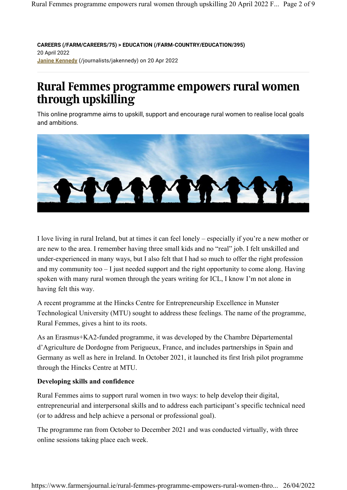**CAREERS (/FARM/CAREERS/75) > EDUCATION (/FARM-COUNTRY/EDUCATION/395)** 20 April 2022 **Janine Kennedy** (/journalists/jakennedy) on 20 Apr 2022

# **Rural Femmes programme empowers rural women through upskilling**

This online programme aims to upskill, support and encourage rural women to realise local goals and ambitions.



I love living in rural Ireland, but at times it can feel lonely – especially if you're a new mother or are new to the area. I remember having three small kids and no "real" job. I felt unskilled and under-experienced in many ways, but I also felt that I had so much to offer the right profession and my community too – I just needed support and the right opportunity to come along. Having spoken with many rural women through the years writing for ICL, I know I'm not alone in having felt this way.

A recent programme at the Hincks Centre for Entrepreneurship Excellence in Munster Technological University (MTU) sought to address these feelings. The name of the programme, Rural Femmes, gives a hint to its roots.

As an Erasmus+KA2-funded programme, it was developed by the Chambre Départemental d'Agriculture de Dordogne from Perigueux, France, and includes partnerships in Spain and Germany as well as here in Ireland. In October 2021, it launched its first Irish pilot programme through the Hincks Centre at MTU.

# **Developing skills and confidence**

Rural Femmes aims to support rural women in two ways: to help develop their digital, entrepreneurial and interpersonal skills and to address each participant's specific technical need (or to address and help achieve a personal or professional goal).

The programme ran from October to December 2021 and was conducted virtually, with three online sessions taking place each week.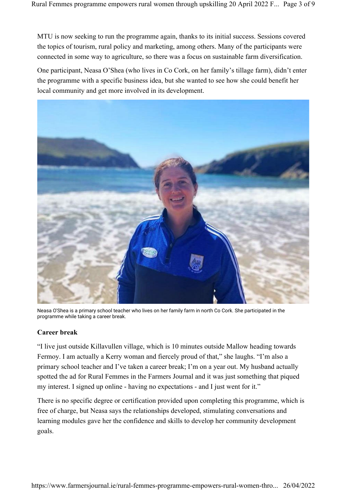MTU is now seeking to run the programme again, thanks to its initial success. Sessions covered the topics of tourism, rural policy and marketing, among others. Many of the participants were connected in some way to agriculture, so there was a focus on sustainable farm diversification.

One participant, Neasa O'Shea (who lives in Co Cork, on her family's tillage farm), didn't enter the programme with a specific business idea, but she wanted to see how she could benefit her local community and get more involved in its development.



Neasa O'Shea is a primary school teacher who lives on her family farm in north Co Cork. She participated in the programme while taking a career break.

## **Career break**

"I live just outside Killavullen village, which is 10 minutes outside Mallow heading towards Fermoy. I am actually a Kerry woman and fiercely proud of that," she laughs. "I'm also a primary school teacher and I've taken a career break; I'm on a year out. My husband actually spotted the ad for Rural Femmes in the Farmers Journal and it was just something that piqued my interest. I signed up online - having no expectations - and I just went for it."

There is no specific degree or certification provided upon completing this programme, which is free of charge, but Neasa says the relationships developed, stimulating conversations and learning modules gave her the confidence and skills to develop her community development goals.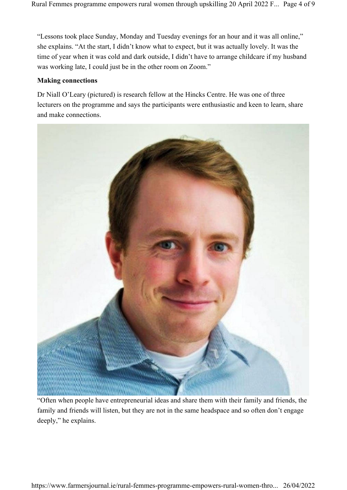"Lessons took place Sunday, Monday and Tuesday evenings for an hour and it was all online," she explains. "At the start, I didn't know what to expect, but it was actually lovely. It was the time of year when it was cold and dark outside, I didn't have to arrange childcare if my husband was working late, I could just be in the other room on Zoom."

# **Making connections**

Dr Niall O'Leary (pictured) is research fellow at the Hincks Centre. He was one of three lecturers on the programme and says the participants were enthusiastic and keen to learn, share and make connections.



"Often when people have entrepreneurial ideas and share them with their family and friends, the family and friends will listen, but they are not in the same headspace and so often don't engage deeply," he explains.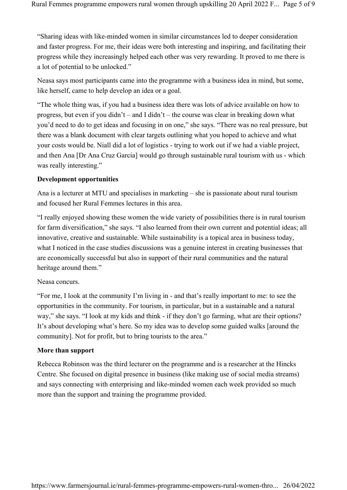"Sharing ideas with like-minded women in similar circumstances led to deeper consideration and faster progress. For me, their ideas were both interesting and inspiring, and facilitating their progress while they increasingly helped each other was very rewarding. It proved to me there is a lot of potential to be unlocked."

Neasa says most participants came into the programme with a business idea in mind, but some, like herself, came to help develop an idea or a goal.

"The whole thing was, if you had a business idea there was lots of advice available on how to progress, but even if you didn't – and I didn't – the course was clear in breaking down what you'd need to do to get ideas and focusing in on one," she says. "There was no real pressure, but there was a blank document with clear targets outlining what you hoped to achieve and what your costs would be. Niall did a lot of logistics - trying to work out if we had a viable project, and then Ana [Dr Ana Cruz Garcia] would go through sustainable rural tourism with us - which was really interesting."

#### **Development opportunities**

Ana is a lecturer at MTU and specialises in marketing – she is passionate about rural tourism and focused her Rural Femmes lectures in this area.

"I really enjoyed showing these women the wide variety of possibilities there is in rural tourism for farm diversification," she says. "I also learned from their own current and potential ideas; all innovative, creative and sustainable. While sustainability is a topical area in business today, what I noticed in the case studies discussions was a genuine interest in creating businesses that are economically successful but also in support of their rural communities and the natural heritage around them."

#### Neasa concurs.

"For me, I look at the community I'm living in - and that's really important to me: to see the opportunities in the community. For tourism, in particular, but in a sustainable and a natural way," she says. "I look at my kids and think - if they don't go farming, what are their options? It's about developing what's here. So my idea was to develop some guided walks [around the community]. Not for profit, but to bring tourists to the area."

#### **More than support**

Rebecca Robinson was the third lecturer on the programme and is a researcher at the Hincks Centre. She focused on digital presence in business (like making use of social media streams) and says connecting with enterprising and like-minded women each week provided so much more than the support and training the programme provided.